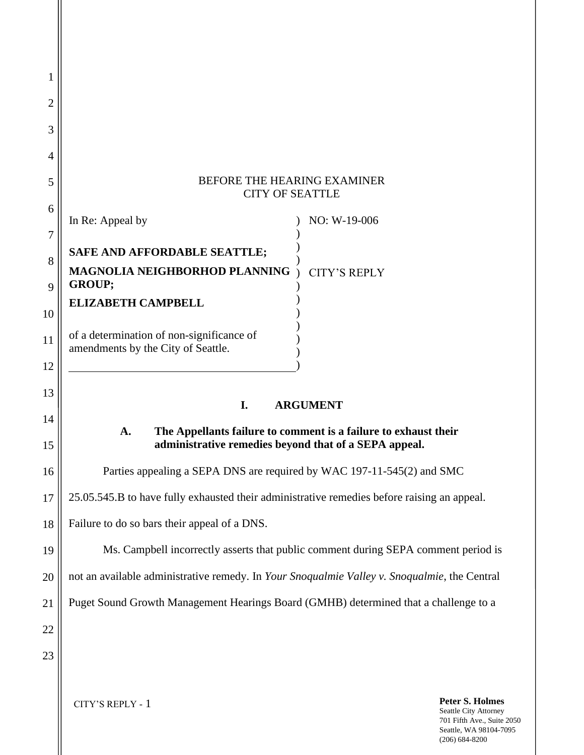## BEFORE THE HEARING EXAMINER CITY OF SEATTLE

|    | In Re: Appeal by                          | NO: W-19-006        |
|----|-------------------------------------------|---------------------|
|    |                                           |                     |
| 8  | SAFE AND AFFORDABLE SEATTLE;              |                     |
|    | MAGNOLIA NEIGHBORHOD PLANNING             | <b>CITY'S REPLY</b> |
| 9  | <b>GROUP:</b>                             |                     |
|    | <b>ELIZABETH CAMPBELL</b>                 |                     |
| 10 |                                           |                     |
|    | of a determination of non-significance of |                     |
| 11 | amendments by the City of Seattle.        |                     |
|    |                                           |                     |
|    |                                           |                     |

# **I. ARGUMENT**

## **A. The Appellants failure to comment is a failure to exhaust their administrative remedies beyond that of a SEPA appeal.**

Parties appealing a SEPA DNS are required by WAC 197-11-545(2) and SMC

25.05.545.B to have fully exhausted their administrative remedies before raising an appeal.

Failure to do so bars their appeal of a DNS.

Ms. Campbell incorrectly asserts that public comment during SEPA comment period is

not an available administrative remedy. In *Your Snoqualmie Valley v. Snoqualmie*, the Central

Puget Sound Growth Management Hearings Board (GMHB) determined that a challenge to a

22 23

1

2

3

4

5

6

13

14

15

16

17

18

19

20

21

CITY'S REPLY - 1

**Peter S. Holmes** Seattle City Attorney 701 Fifth Ave., Suite 2050 Seattle, WA 98104-7095 (206) 684-8200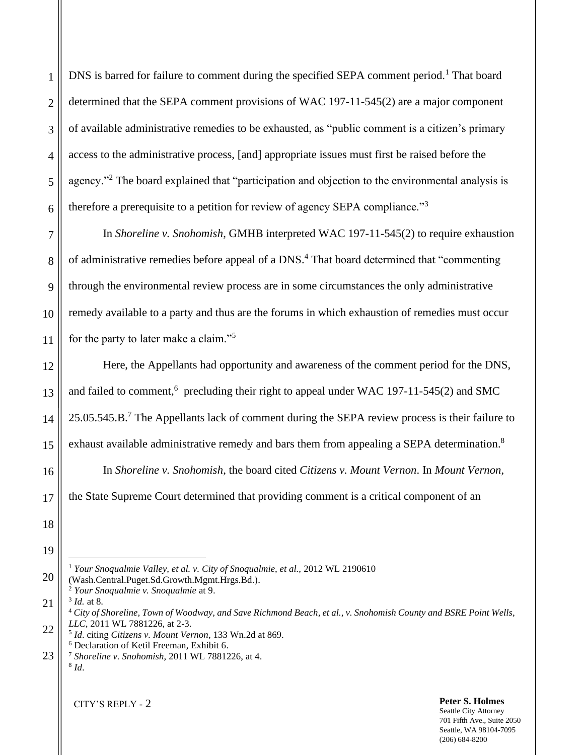DNS is barred for failure to comment during the specified SEPA comment period.<sup>1</sup> That board determined that the SEPA comment provisions of WAC 197-11-545(2) are a major component of available administrative remedies to be exhausted, as "public comment is a citizen's primary access to the administrative process, [and] appropriate issues must first be raised before the agency."<sup>2</sup> The board explained that "participation and objection to the environmental analysis is therefore a prerequisite to a petition for review of agency SEPA compliance."<sup>3</sup>

In *Shoreline v. Snohomish*, GMHB interpreted WAC 197-11-545(2) to require exhaustion of administrative remedies before appeal of a DNS. <sup>4</sup> That board determined that "commenting through the environmental review process are in some circumstances the only administrative remedy available to a party and thus are the forums in which exhaustion of remedies must occur for the party to later make a claim."<sup>5</sup>

Here, the Appellants had opportunity and awareness of the comment period for the DNS, and failed to comment,<sup>6</sup> precluding their right to appeal under WAC 197-11-545(2) and SMC 25.05.545.B.<sup>7</sup> The Appellants lack of comment during the SEPA review process is their failure to exhaust available administrative remedy and bars them from appealing a SEPA determination.<sup>8</sup>

In *Shoreline v. Snohomish*, the board cited *Citizens v. Mount Vernon*. In *Mount Vernon*, the State Supreme Court determined that providing comment is a critical component of an

18 19

20

1

2

3

4

5

6

7

8

9

10

11

12

13

14

15

16

17

21 3 *Id.* at 8.

8 *Id*.

### **Peter S. Holmes**

Seattle City Attorney 701 Fifth Ave., Suite 2050 Seattle, WA 98104-7095 (206) 684-8200

<sup>&</sup>lt;sup>1</sup> *Your Snoqualmie Valley, et al. v. City of Snoqualmie, et al., 2012 WL 2190610* 

<sup>(</sup>Wash.Central.Puget.Sd.Growth.Mgmt.Hrgs.Bd.).

<sup>2</sup> *Your Snoqualmie v. Snoqualmie* at 9.

<sup>4</sup> *City of Shoreline, Town of Woodway, and Save Richmond Beach, et al., v. Snohomish County and BSRE Point Wells*, *LLC*, 2011 WL 7881226, at 2-3.

<sup>22</sup> 5 *Id*. citing *Citizens v. Mount Vernon*, 133 Wn.2d at 869. <sup>6</sup> Declaration of Ketil Freeman, Exhibit 6.

<sup>23</sup> <sup>7</sup> *Shoreline v. Snohomish*, 2011 WL 7881226, at 4.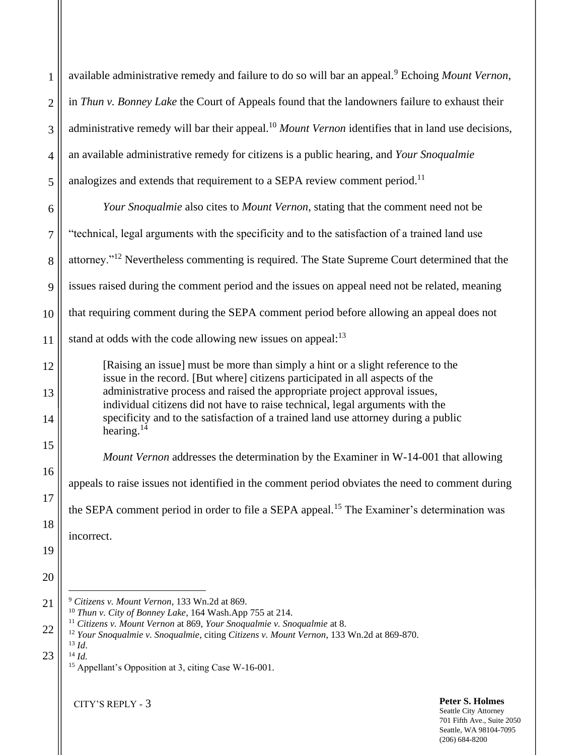|                | <b>Peter S. Holmes</b><br>CITY'S REPLY - 3                                                                                                                      |
|----------------|-----------------------------------------------------------------------------------------------------------------------------------------------------------------|
| 23             | $^{14}$ Id.<br><sup>15</sup> Appellant's Opposition at 3, citing Case W-16-001.                                                                                 |
|                | <sup>12</sup> Your Snoqualmie v. Snoqualmie, citing Citizens v. Mount Vernon, 133 Wn.2d at 869-870.<br>$^{13}$ Id.                                              |
| 22             | <sup>10</sup> Thun v. City of Bonney Lake, 164 Wash.App 755 at 214.<br>$11$ Citizens v. Mount Vernon at 869, Your Snoqualmie v. Snoqualmie at 8.                |
| 21             | <sup>9</sup> Citizens v. Mount Vernon, 133 Wn.2d at 869.                                                                                                        |
| 20             |                                                                                                                                                                 |
| 19             | incorrect.                                                                                                                                                      |
| 18             |                                                                                                                                                                 |
| 17             | the SEPA comment period in order to file a SEPA appeal. <sup>15</sup> The Examiner's determination was                                                          |
| 16             | appeals to raise issues not identified in the comment period obviates the need to comment during                                                                |
| 15             | <i>Mount Vernon</i> addresses the determination by the Examiner in W-14-001 that allowing                                                                       |
| 14             | specificity and to the satisfaction of a trained land use attorney during a public<br>hearing. $^{14}$                                                          |
| 13             | administrative process and raised the appropriate project approval issues,<br>individual citizens did not have to raise technical, legal arguments with the     |
| 12             | [Raising an issue] must be more than simply a hint or a slight reference to the<br>issue in the record. [But where] citizens participated in all aspects of the |
| 11             | stand at odds with the code allowing new issues on appeal: <sup>13</sup>                                                                                        |
| 10             | that requiring comment during the SEPA comment period before allowing an appeal does not                                                                        |
| 9              | issues raised during the comment period and the issues on appeal need not be related, meaning                                                                   |
| 8              | attorney." <sup>12</sup> Nevertheless commenting is required. The State Supreme Court determined that the                                                       |
| $\overline{7}$ | "technical, legal arguments with the specificity and to the satisfaction of a trained land use                                                                  |
| 6              | Your Snoqualmie also cites to Mount Vernon, stating that the comment need not be                                                                                |
| 5              | analogizes and extends that requirement to a SEPA review comment period. <sup>11</sup>                                                                          |
| $\overline{4}$ | an available administrative remedy for citizens is a public hearing, and Your Snoqualmie                                                                        |
| 3              | administrative remedy will bar their appeal. <sup>10</sup> Mount Vernon identifies that in land use decisions,                                                  |
| $\overline{2}$ | in Thun v. Bonney Lake the Court of Appeals found that the landowners failure to exhaust their                                                                  |
| $\mathbf{1}$   | available administrative remedy and failure to do so will bar an appeal. <sup>9</sup> Echoing Mount Vernon,                                                     |
|                |                                                                                                                                                                 |

Seattle City Attorney 701 Fifth Ave., Suite 2050 Seattle, WA 98104-7095 (206) 684-8200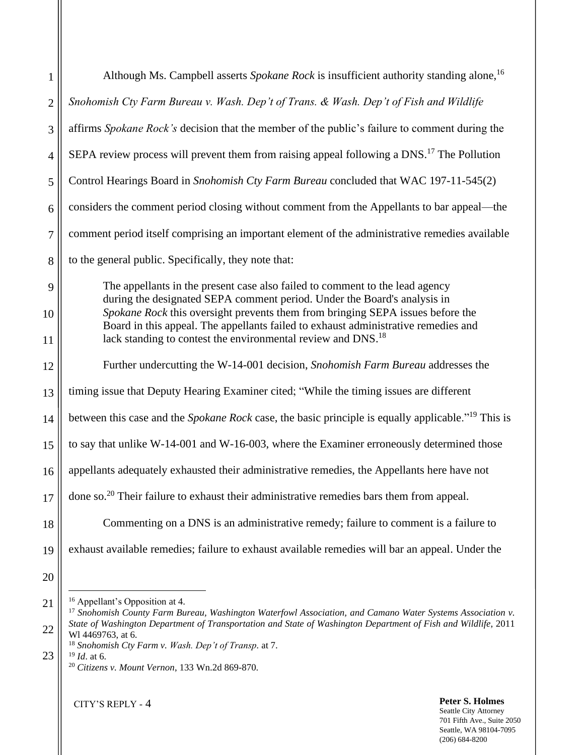| $\mathbf{1}$   | Although Ms. Campbell asserts Spokane Rock is insufficient authority standing alone, <sup>16</sup>                                                                   |
|----------------|----------------------------------------------------------------------------------------------------------------------------------------------------------------------|
| $\overline{2}$ | Snohomish Cty Farm Bureau v. Wash. Dep't of Trans. & Wash. Dep't of Fish and Wildlife                                                                                |
| 3              | affirms Spokane Rock's decision that the member of the public's failure to comment during the                                                                        |
| $\overline{4}$ | SEPA review process will prevent them from raising appeal following a DNS. <sup>17</sup> The Pollution                                                               |
| 5              | Control Hearings Board in Snohomish Cty Farm Bureau concluded that WAC 197-11-545(2)                                                                                 |
| 6              | considers the comment period closing without comment from the Appellants to bar appeal—the                                                                           |
| 7              | comment period itself comprising an important element of the administrative remedies available                                                                       |
| 8              | to the general public. Specifically, they note that:                                                                                                                 |
| 9              | The appellants in the present case also failed to comment to the lead agency<br>during the designated SEPA comment period. Under the Board's analysis in             |
| 10             | Spokane Rock this oversight prevents them from bringing SEPA issues before the<br>Board in this appeal. The appellants failed to exhaust administrative remedies and |
| 11             | lack standing to contest the environmental review and DNS. <sup>18</sup>                                                                                             |
| 12             | Further undercutting the W-14-001 decision, Snohomish Farm Bureau addresses the                                                                                      |
| 13             | timing issue that Deputy Hearing Examiner cited; "While the timing issues are different                                                                              |
| 14             | between this case and the Spokane Rock case, the basic principle is equally applicable." <sup>19</sup> This is                                                       |
| 15             | to say that unlike W-14-001 and W-16-003, where the Examiner erroneously determined those                                                                            |
| 16             | appellants adequately exhausted their administrative remedies, the Appellants here have not                                                                          |
| 17             | done so. <sup>20</sup> Their failure to exhaust their administrative remedies bars them from appeal.                                                                 |
| 18             | Commenting on a DNS is an administrative remedy; failure to comment is a failure to                                                                                  |
| 19             | exhaust available remedies; failure to exhaust available remedies will bar an appeal. Under the                                                                      |
| 20             |                                                                                                                                                                      |
| 21             | <sup>16</sup> Appellant's Opposition at 4.<br><sup>17</sup> Snohomish County Farm Bureau, Washington Waterfowl Association, and Camano Water Systems Association v.  |
| 22             | State of Washington Department of Transportation and State of Washington Department of Fish and Wildlife, 2011<br>Wl 4469763, at 6.                                  |
| 23             | <sup>18</sup> Snohomish Cty Farm v. Wash. Dep't of Transp. at 7.<br>$19$ <i>Id.</i> at 6.<br><sup>20</sup> Citizens v. Mount Vernon, 133 Wn.2d 869-870.              |

CITY'S REPLY - 4

 $\mathsf{II}$ 

#### **Peter S. Holmes** Seattle City Attorney 701 Fifth Ave., Suite 2050 Seattle, WA 98104-7095 (206) 684-8200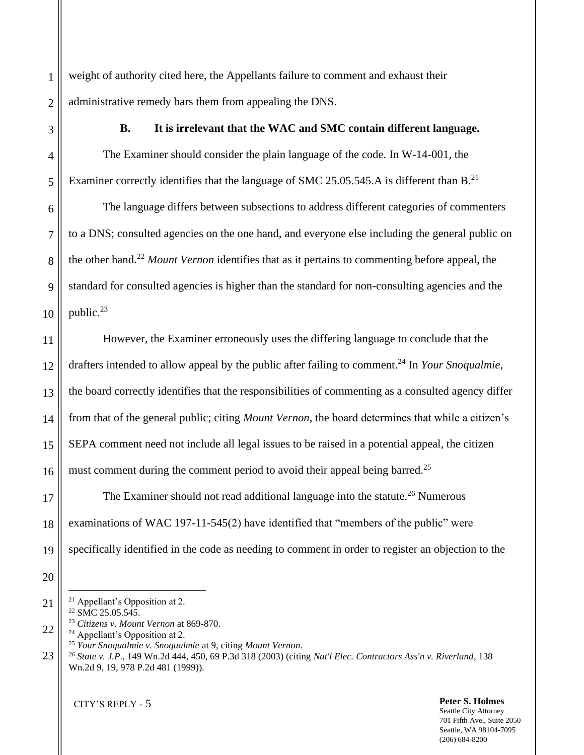weight of authority cited here, the Appellants failure to comment and exhaust their administrative remedy bars them from appealing the DNS.

## **B. It is irrelevant that the WAC and SMC contain different language.**

The Examiner should consider the plain language of the code. In W-14-001, the Examiner correctly identifies that the language of SMC 25.05.545.A is different than B.<sup>21</sup>

The language differs between subsections to address different categories of commenters to a DNS; consulted agencies on the one hand, and everyone else including the general public on the other hand. <sup>22</sup> *Mount Vernon* identifies that as it pertains to commenting before appeal, the standard for consulted agencies is higher than the standard for non-consulting agencies and the public. $^{23}$ 

However, the Examiner erroneously uses the differing language to conclude that the drafters intended to allow appeal by the public after failing to comment.<sup>24</sup> In *Your Snoqualmie*, the board correctly identifies that the responsibilities of commenting as a consulted agency differ from that of the general public; citing *Mount Vernon*, the board determines that while a citizen's SEPA comment need not include all legal issues to be raised in a potential appeal, the citizen must comment during the comment period to avoid their appeal being barred.<sup>25</sup>

The Examiner should not read additional language into the statute.<sup>26</sup> Numerous examinations of WAC 197-11-545(2) have identified that "members of the public" were specifically identified in the code as needing to comment in order to register an objection to the

- <sup>21</sup> Appellant's Opposition at 2.
- <sup>22</sup> SMC 25.05.545.

1

2

3

4

5

6

7

8

9

10

11

12

13

14

15

16

17

18

19

20

21

22

- <sup>23</sup> *Citizens v. Mount Vernon* at 869-870.
- <sup>24</sup> Appellant's Opposition at 2.
- <sup>25</sup> *Your Snoqualmie v. Snoqualmie* at 9, citing *Mount Vernon*.
- 23 *<sup>26</sup> State v. J.P.*, 149 Wn.2d 444, 450, 69 P.3d 318 (2003) (citing *Nat'l Elec. Contractors Ass'n v. Riverland*, 138 Wn.2d 9, 19, 978 P.2d 481 (1999)).

CITY'S REPLY - 5

**Peter S. Holmes** Seattle City Attorney 701 Fifth Ave., Suite 2050 Seattle, WA 98104-7095 (206) 684-8200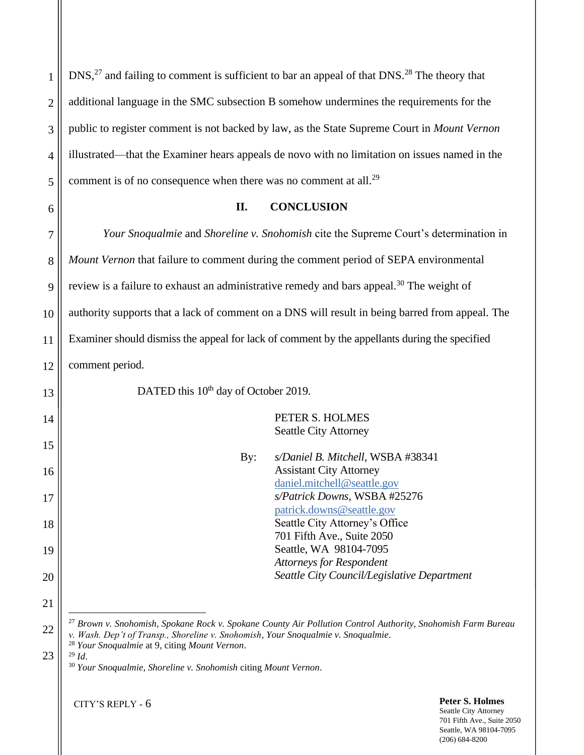$DNS<sub>1</sub><sup>27</sup>$  and failing to comment is sufficient to bar an appeal of that  $DNS<sub>1</sub><sup>28</sup>$  The theory that additional language in the SMC subsection B somehow undermines the requirements for the public to register comment is not backed by law, as the State Supreme Court in *Mount Vernon* illustrated—that the Examiner hears appeals de novo with no limitation on issues named in the comment is of no consequence when there was no comment at all.<sup>29</sup>

1

2

3

4

5

6

7

8

9

10

11

12

13

14

15

16

17

18

19

20

21

22

## **II. CONCLUSION**

*Your Snoqualmie* and *Shoreline v. Snohomish* cite the Supreme Court's determination in *Mount Vernon* that failure to comment during the comment period of SEPA environmental review is a failure to exhaust an administrative remedy and bars appeal.<sup>30</sup> The weight of authority supports that a lack of comment on a DNS will result in being barred from appeal. The Examiner should dismiss the appeal for lack of comment by the appellants during the specified comment period.

DATED this 10<sup>th</sup> day of October 2019.

PETER S. HOLMES Seattle City Attorney

| By: | s/Daniel B. Mitchell, WSBA #38341           |
|-----|---------------------------------------------|
|     | <b>Assistant City Attorney</b>              |
|     | daniel.mitchell@seattle.gov                 |
|     | s/Patrick Downs, WSBA #25276                |
|     | patrick.downs@seattle.gov                   |
|     | Seattle City Attorney's Office              |
|     | 701 Fifth Ave., Suite 2050                  |
|     | Seattle, WA 98104-7095                      |
|     | <b>Attorneys for Respondent</b>             |
|     | Seattle City Council/Legislative Department |
|     |                                             |

<sup>27</sup> *Brown v. Snohomish*, *Spokane Rock v. Spokane County Air Pollution Control Authority, Snohomish Farm Bureau v. Wash. Dep't of Transp., Shoreline v. Snohomish, Your Snoqualmie v. Snoqualmie*.

<sup>30</sup> *Your Snoqualmie*, *Shoreline v. Snohomish* citing *Mount Vernon*.

CITY'S REPLY - 6

**Peter S. Holmes** Seattle City Attorney 701 Fifth Ave., Suite 2050 Seattle, WA 98104-7095

(206) 684-8200

<sup>28</sup> *Your Snoqualmie* at 9, citing *Mount Vernon*. <sup>29</sup> *Id*.

<sup>23</sup>